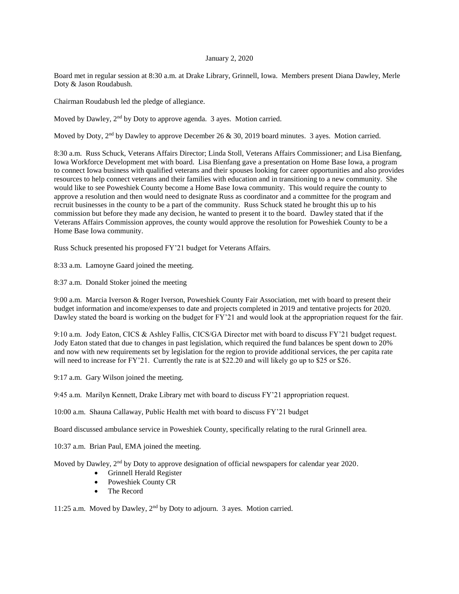## January 2, 2020

Board met in regular session at 8:30 a.m. at Drake Library, Grinnell, Iowa. Members present Diana Dawley, Merle Doty & Jason Roudabush.

Chairman Roudabush led the pledge of allegiance.

Moved by Dawley, 2<sup>nd</sup> by Doty to approve agenda. 3 ayes. Motion carried.

Moved by Doty, 2<sup>nd</sup> by Dawley to approve December 26 & 30, 2019 board minutes. 3 ayes. Motion carried.

8:30 a.m. Russ Schuck, Veterans Affairs Director; Linda Stoll, Veterans Affairs Commissioner; and Lisa Bienfang, Iowa Workforce Development met with board. Lisa Bienfang gave a presentation on Home Base Iowa, a program to connect Iowa business with qualified veterans and their spouses looking for career opportunities and also provides resources to help connect veterans and their families with education and in transitioning to a new community. She would like to see Poweshiek County become a Home Base Iowa community. This would require the county to approve a resolution and then would need to designate Russ as coordinator and a committee for the program and recruit businesses in the county to be a part of the community. Russ Schuck stated he brought this up to his commission but before they made any decision, he wanted to present it to the board. Dawley stated that if the Veterans Affairs Commission approves, the county would approve the resolution for Poweshiek County to be a Home Base Iowa community.

Russ Schuck presented his proposed FY'21 budget for Veterans Affairs.

8:33 a.m. Lamoyne Gaard joined the meeting.

8:37 a.m. Donald Stoker joined the meeting

9:00 a.m. Marcia Iverson & Roger Iverson, Poweshiek County Fair Association, met with board to present their budget information and income/expenses to date and projects completed in 2019 and tentative projects for 2020. Dawley stated the board is working on the budget for FY'21 and would look at the appropriation request for the fair.

9:10 a.m. Jody Eaton, CICS & Ashley Fallis, CICS/GA Director met with board to discuss FY'21 budget request. Jody Eaton stated that due to changes in past legislation, which required the fund balances be spent down to 20% and now with new requirements set by legislation for the region to provide additional services, the per capita rate will need to increase for FY'21. Currently the rate is at \$22.20 and will likely go up to \$25 or \$26.

9:17 a.m. Gary Wilson joined the meeting.

9:45 a.m. Marilyn Kennett, Drake Library met with board to discuss FY'21 appropriation request.

10:00 a.m. Shauna Callaway, Public Health met with board to discuss FY'21 budget

Board discussed ambulance service in Poweshiek County, specifically relating to the rural Grinnell area.

10:37 a.m. Brian Paul, EMA joined the meeting.

Moved by Dawley, 2<sup>nd</sup> by Doty to approve designation of official newspapers for calendar year 2020.

- Grinnell Herald Register
- Poweshiek County CR
- The Record

11:25 a.m. Moved by Dawley, 2nd by Doty to adjourn. 3 ayes. Motion carried.